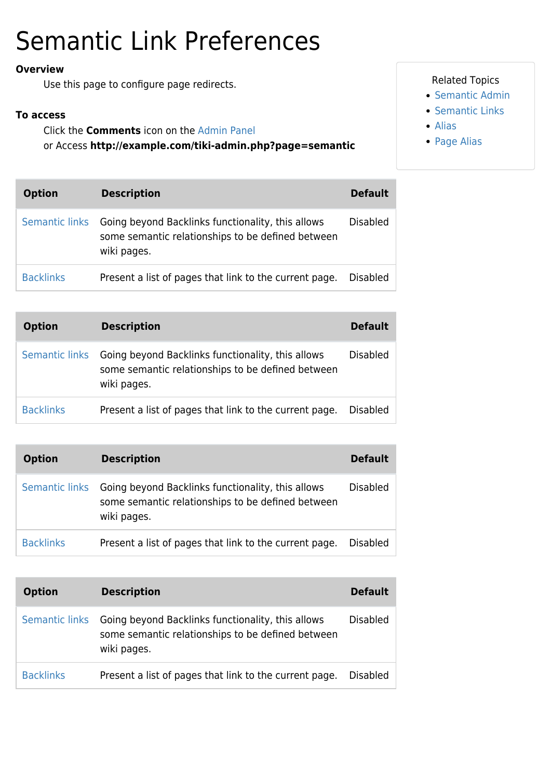## Semantic Link Preferences

## **Overview**

Use this page to configure page redirects.

## **To access**

Click the **Comments** icon on the [Admin Panel](https://doc.tiki.org/Admin-Panels) or Access **http://example.com/tiki-admin.php?page=semantic**

| <b>Option</b>    | <b>Description</b>                                                                                                    | <b>Default</b>  |
|------------------|-----------------------------------------------------------------------------------------------------------------------|-----------------|
| Semantic links   | Going beyond Backlinks functionality, this allows<br>some semantic relationships to be defined between<br>wiki pages. | <b>Disabled</b> |
| <b>Backlinks</b> | Present a list of pages that link to the current page.                                                                | <b>Disabled</b> |

| <b>Option</b>    | <b>Description</b>                                                                                                    | <b>Default</b>  |
|------------------|-----------------------------------------------------------------------------------------------------------------------|-----------------|
| Semantic links   | Going beyond Backlinks functionality, this allows<br>some semantic relationships to be defined between<br>wiki pages. | <b>Disabled</b> |
| <b>Backlinks</b> | Present a list of pages that link to the current page.                                                                | <b>Disabled</b> |

| <b>Option</b>    | <b>Description</b>                                                                                                    | <b>Default</b>  |
|------------------|-----------------------------------------------------------------------------------------------------------------------|-----------------|
| Semantic links   | Going beyond Backlinks functionality, this allows<br>some semantic relationships to be defined between<br>wiki pages. | Disabled        |
| <b>Backlinks</b> | Present a list of pages that link to the current page.                                                                | <b>Disabled</b> |

| <b>Option</b>    | <b>Description</b>                                                                                                                   | <b>Default</b>  |
|------------------|--------------------------------------------------------------------------------------------------------------------------------------|-----------------|
|                  | Semantic links Going beyond Backlinks functionality, this allows<br>some semantic relationships to be defined between<br>wiki pages. | <b>Disabled</b> |
| <b>Backlinks</b> | Present a list of pages that link to the current page.                                                                               | <b>Disabled</b> |

## Related Topics

- [Semantic Admin](https://doc.tiki.org/Semantic-Admin)
- [Semantic Links](https://doc.tiki.org/Semantic-Links)
- [Alias](https://doc.tiki.org/Alias)
- [Page Alias](https://doc.tiki.org/Page-Alias)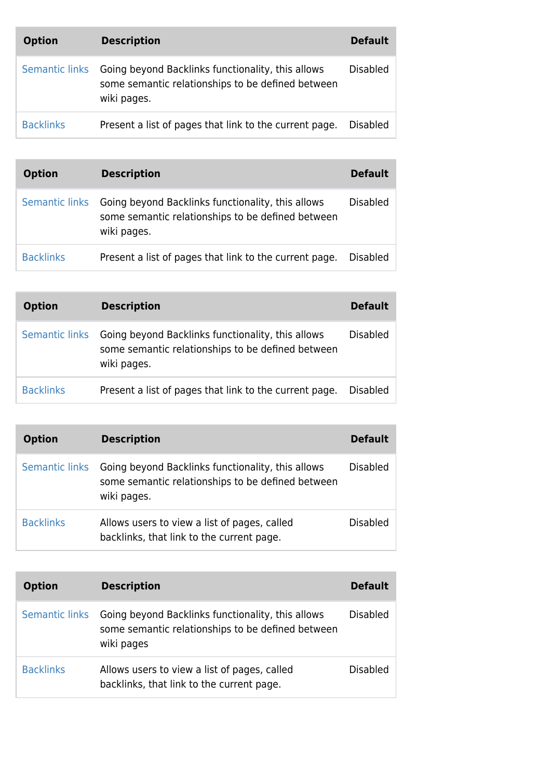| <b>Option</b>    | <b>Description</b>                                                                                                    | <b>Default</b>  |
|------------------|-----------------------------------------------------------------------------------------------------------------------|-----------------|
| Semantic links   | Going beyond Backlinks functionality, this allows<br>some semantic relationships to be defined between<br>wiki pages. | <b>Disabled</b> |
| <b>Backlinks</b> | Present a list of pages that link to the current page.                                                                | <b>Disabled</b> |

| <b>Option</b>    | <b>Description</b>                                                                                                    | <b>Default</b>  |
|------------------|-----------------------------------------------------------------------------------------------------------------------|-----------------|
| Semantic links   | Going beyond Backlinks functionality, this allows<br>some semantic relationships to be defined between<br>wiki pages. | <b>Disabled</b> |
| <b>Backlinks</b> | Present a list of pages that link to the current page.                                                                | <b>Disabled</b> |

| <b>Option</b>    | <b>Description</b>                                                                                                    | <b>Default</b>  |
|------------------|-----------------------------------------------------------------------------------------------------------------------|-----------------|
| Semantic links   | Going beyond Backlinks functionality, this allows<br>some semantic relationships to be defined between<br>wiki pages. | <b>Disabled</b> |
| <b>Backlinks</b> | Present a list of pages that link to the current page.                                                                | <b>Disabled</b> |

| <b>Option</b>    | <b>Description</b>                                                                                                    | <b>Default</b>  |
|------------------|-----------------------------------------------------------------------------------------------------------------------|-----------------|
| Semantic links   | Going beyond Backlinks functionality, this allows<br>some semantic relationships to be defined between<br>wiki pages. | <b>Disabled</b> |
| <b>Backlinks</b> | Allows users to view a list of pages, called<br>backlinks, that link to the current page.                             | <b>Disabled</b> |

| <b>Option</b>         | <b>Description</b>                                                                                                   | <b>Default</b>  |
|-----------------------|----------------------------------------------------------------------------------------------------------------------|-----------------|
| <b>Semantic links</b> | Going beyond Backlinks functionality, this allows<br>some semantic relationships to be defined between<br>wiki pages | <b>Disabled</b> |
| <b>Backlinks</b>      | Allows users to view a list of pages, called<br>backlinks, that link to the current page.                            | <b>Disabled</b> |